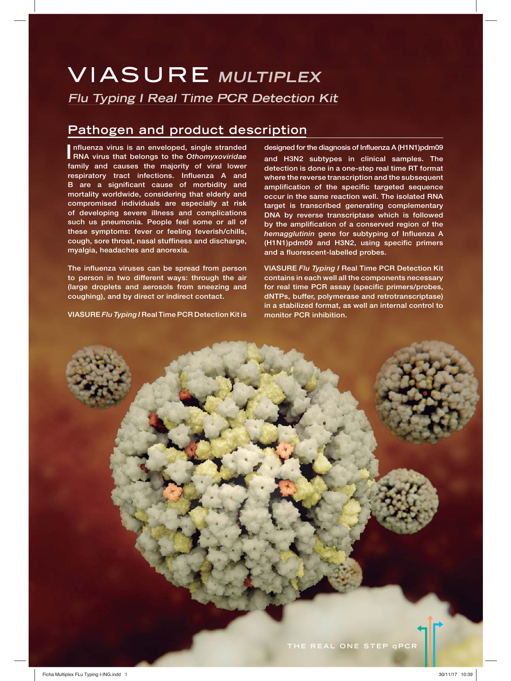# **VIASURE MULTIPLEX Flu Typing I Real Time PCR Detection Kit**

## **Pathogen and product description**

**I**nfluenza virus is an enveloped, single stranded<br>RNA virus that belongs to the *Othomyxoviridae* **nfluenza virus is an enveloped, single stranded family and causes the majority of viral lower respiratory tract infections. Influenza A and B are a significant cause of morbidity and mortality worldwide, considering that elderly and compromised individuals are especially at risk of developing severe illness and complications such us pneumonia. People feel some or all of these symptoms: fever or feeling feverish/chills, cough, sore throat, nasal stuffiness and discharge, myalgia, headaches and anorexia.**

**The influenza viruses can be spread from person to person in two different ways: through the air (large droplets and aerosols from sneezing and coughing), and by direct or indirect contact.**

**VIASURE** *Flu Typing I* **Real Time PCR Detection Kit is**

**designed for the diagnosis of Influenza A (H1N1)pdm09 and H3N2 subtypes in clinical samples. The detection is done in a one-step real time RT format where the reverse transcription and the subsequent amplification of the specific targeted sequence occur in the same reaction well. The isolated RNA target is transcribed generating complementary DNA by reverse transcriptase which is followed by the amplification of a conserved region of the**  *hemagglutinin* **gene for subtyping of Influenza A (H1N1)pdm09 and H3N2, using specific primers and a fluorescent-labelled probes.**

**VIASURE** *Flu Typing I* **Real Time PCR Detection Kit contains in each well all the components necessary for real time PCR assay (specific primers/probes, dNTPs, buffer, polymerase and retrotranscriptase) in a stabilized format, as well an internal control to monitor PCR inhibition.**